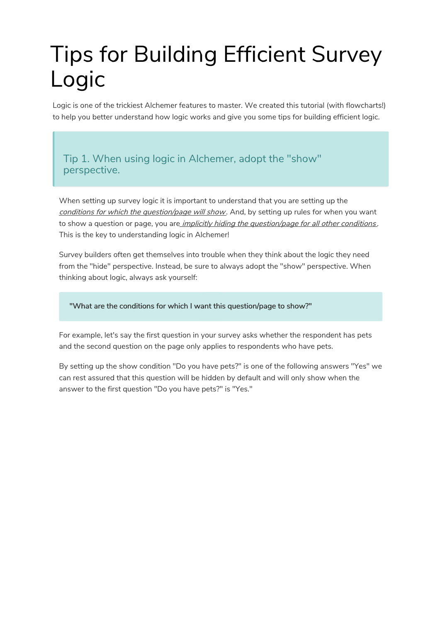# Tips for Building Efficient Survey Logic

Logic is one of the trickiest Alchemer features to master. We created this tutorial (with flowcharts!) to help you better understand how logic works and give you some tips for building efficient logic.

Tip 1. When using logic in Alchemer, adopt the "show" perspective.

When setting up survey logic it is important to understand that you are setting up the conditions for which the question/page will show. And, by setting up rules for when you want to show a question or page, you are *implicitly hiding the question/page for all other conditions*. This is the key to understanding logic in Alchemer!

Survey builders often get themselves into trouble when they think about the logic they need from the "hide" perspective. Instead, be sure to always adopt the "show" perspective. When thinking about logic, always ask yourself:

"What are the conditions for which I want this question/page to show?"

For example, let's say the first question in your survey asks whether the respondent has pets and the second question on the page only applies to respondents who have pets.

By setting up the show condition "Do you have pets?" is one of the following answers "Yes" we can rest assured that this question will be hidden by default and will only show when the answer to the first question "Do you have pets?" is "Yes."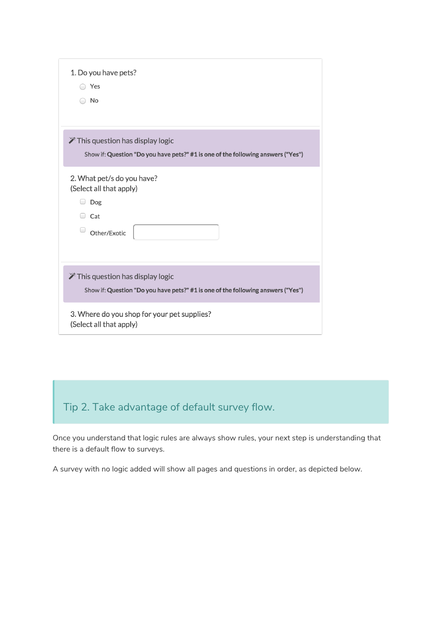| 1. Do you have pets?<br>Yes<br>No                                                                                                |  |
|----------------------------------------------------------------------------------------------------------------------------------|--|
| $\mathscr V$ This question has display logic<br>Show if: Question "Do you have pets?" #1 is one of the following answers ("Yes") |  |
| 2. What pet/s do you have?<br>(Select all that apply)<br>Dog<br>$\Box$<br>$\Box$ Cat<br>Other/Exotic                             |  |
| $\mathscr V$ This question has display logic<br>Show if: Question "Do you have pets?" #1 is one of the following answers ("Yes") |  |
| 3. Where do you shop for your pet supplies?<br>(Select all that apply)                                                           |  |

## Tip 2. Take advantage of default survey flow.

Once you understand that logic rules are always show rules, your next step is understanding that there is a default flow to surveys.

A survey with no logic added will show all pages and questions in order, as depicted below.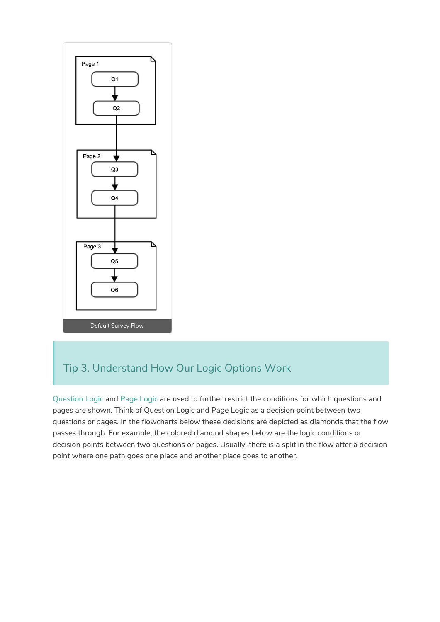

### Tip 3. Understand How Our Logic Options Work

Question Logic and Page Logic are used to further restrict the conditions for which questions and pages are shown. Think of Question Logic and Page Logic as a decision point between two questions or pages. In the flowcharts below these decisions are depicted as diamonds that the flow passes through. For example, the colored diamond shapes below are the logic conditions or decision points between two questions or pages. Usually, there is a split in the flow after a decision point where one path goes one place and another place goes to another.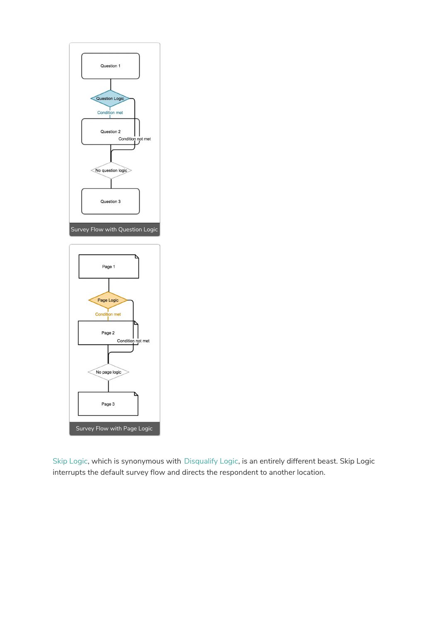

Skip Logic, which is synonymous with Disqualify Logic, is an entirely different beast. Skip Logic interrupts the default survey flow and directs the respondent to another location.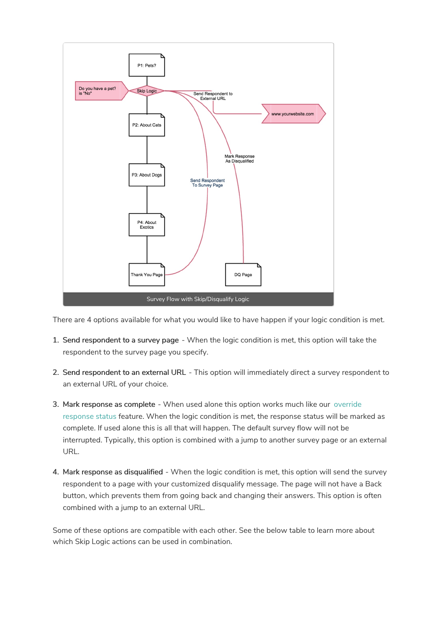

There are 4 options available for what you would like to have happen if your logic condition is met.

- 1. Send respondent to a survey page When the logic condition is met, this option will take the respondent to the survey page you specify.
- 2. Send respondent to an external URL This option will immediately direct a survey respondent to an external URL of your choice.
- 3. Mark response as complete When used alone this option works much like our override response status feature. When the logic condition is met, the response status will be marked as complete. If used alone this is all that will happen. The default survey flow will not be interrupted. Typically, this option is combined with a jump to another survey page or an external URL.
- 4. Mark response as disqualified When the logic condition is met, this option will send the survey respondent to a page with your customized disqualify message. The page will not have a Back button, which prevents them from going back and changing their answers. This option is often combined with a jump to an external URL.

Some of these options are compatible with each other. See the below table to learn more about which Skip Logic actions can be used in combination.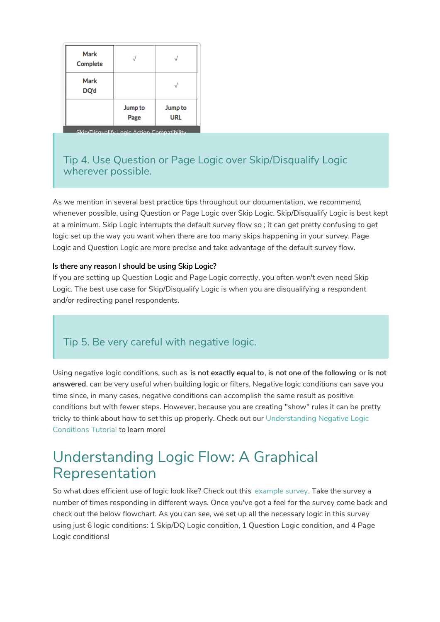| Mark<br>Complete                           |                 |                       |
|--------------------------------------------|-----------------|-----------------------|
| Mark<br>DQ'd                               |                 |                       |
|                                            | Jump to<br>Page | Jump to<br><b>URL</b> |
| Skin/Disqualify Logic Action Compatibility |                 |                       |

#### Tip 4. Use Question or Page Logic over Skip/Disqualify Logic wherever possible.

As we mention in several best practice tips throughout our documentation, we recommend, whenever possible, using Question or Page Logic over Skip Logic. Skip/Disqualify Logic is best kept at a minimum. Skip Logic interrupts the default survey flow so ; it can get pretty confusing to get logic set up the way you want when there are too many skips happening in your survey. Page Logic and Question Logic are more precise and take advantage of the default survey flow.

#### Is there any reason I should be using Skip Logic?

If you are setting up Question Logic and Page Logic correctly, you often won't even need Skip Logic. The best use case for Skip/Disqualify Logic is when you are disqualifying a respondent and/or redirecting panel respondents.

#### Tip 5. Be very careful with negative logic.

Using negative logic conditions, such as is not exactly equal to, is not one of the following or is not answered, can be very useful when building logic or filters. Negative logic conditions can save you time since, in many cases, negative conditions can accomplish the same result as positive conditions but with fewer steps. However, because you are creating "show" rules it can be pretty tricky to think about how to set this up properly. Check out our Understanding Negative Logic Conditions Tutorial to learn more!

## Understanding Logic Flow: A Graphical Representation

So what does efficient use of logic look like? Check out this example survey. Take the survey a number of times responding in different ways. Once you've got a feel for the survey come back and check out the below flowchart. As you can see, we set up all the necessary logic in this survey using just 6 logic conditions: 1 Skip/DQ Logic condition, 1 Question Logic condition, and 4 Page Logic conditions!